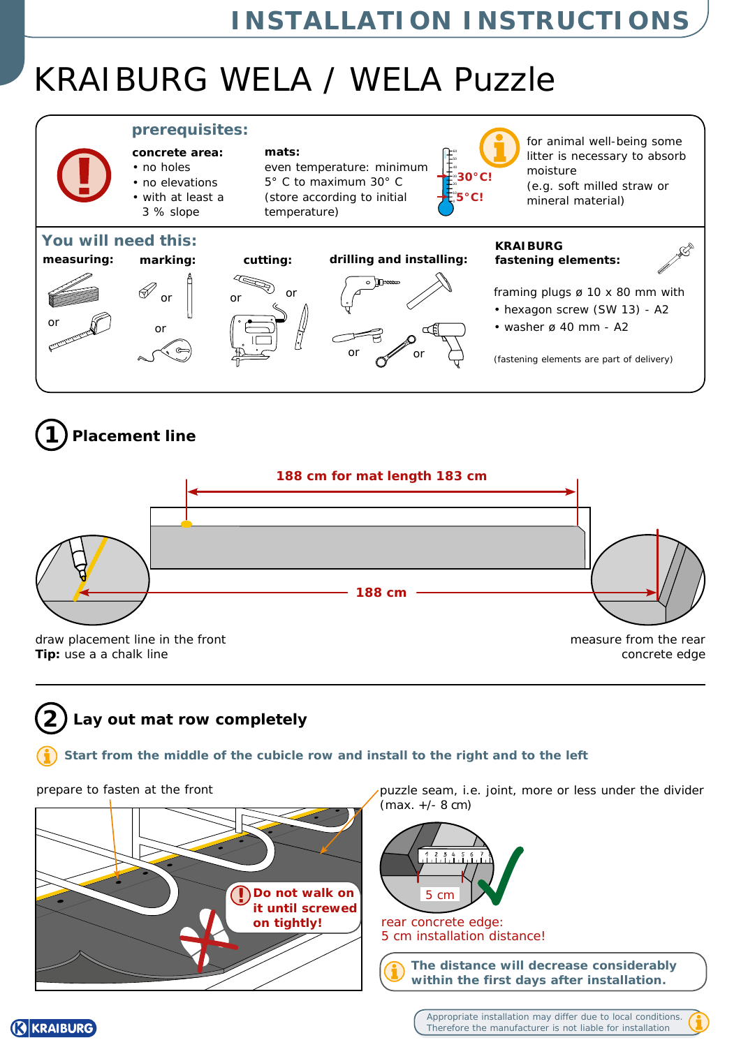# KRAIBURG WELA / WELA Puzzle







#### **2 Lay out mat row completely**

### **Start from the middle of the cubicle row and install to the right and to the left**

**REIKRAIBURG** 



prepare to fasten at the front puzzle seam, i.e. joint, more or less under the divider (max. +/- 8 cm)



**on tightly!** A rear concrete edge: 5 cm installation distance!

> **The distance will decrease considerably within the first days after installation.**

> > Appropriate installation may differ due to local conditions. Therefore the manufacturer is not liable for installation